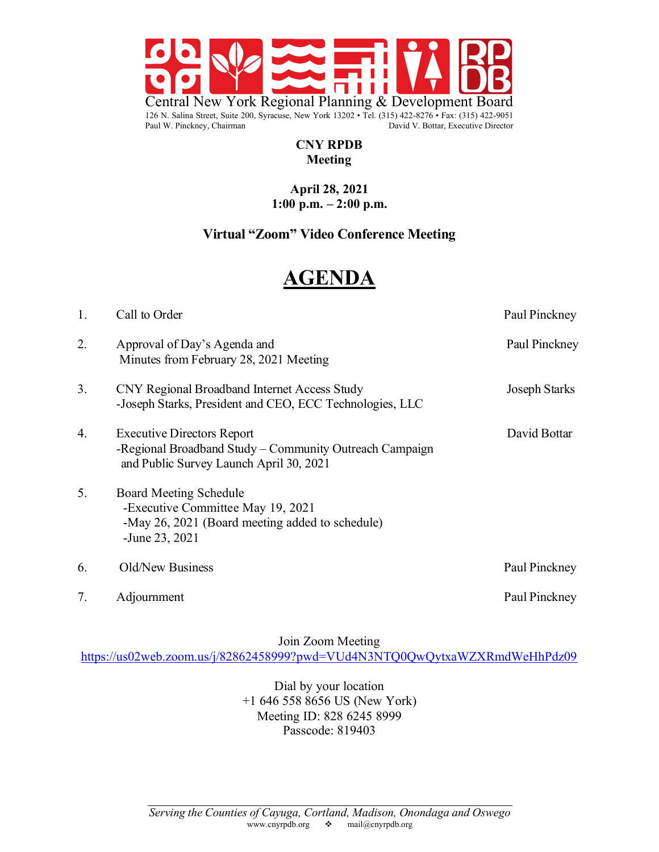

#### $CNY$  RPDB **126 Neeting** Paul W. Pinckney, Chairman David V. Bottar, Executive Director

#### **April 28, 2021 1:00 p.m. – 2:00 p.m.**

## **Virtual "Zoom" Video Conference Meeting**

# **AGENDA**

| 1. | Call to Order                                                                                                                           | Paul Pinckney |
|----|-----------------------------------------------------------------------------------------------------------------------------------------|---------------|
| 2. | Approval of Day's Agenda and<br>Minutes from February 28, 2021 Meeting                                                                  | Paul Pinckney |
| 3. | CNY Regional Broadband Internet Access Study<br>-Joseph Starks, President and CEO, ECC Technologies, LLC                                | Joseph Starks |
| 4. | <b>Executive Directors Report</b><br>-Regional Broadband Study - Community Outreach Campaign<br>and Public Survey Launch April 30, 2021 | David Bottar  |
| 5. | <b>Board Meeting Schedule</b><br>-Executive Committee May 19, 2021<br>-May 26, 2021 (Board meeting added to schedule)<br>-June 23, 2021 |               |
| 6. | Old/New Business                                                                                                                        | Paul Pinckney |
| 7. | Adjournment                                                                                                                             | Paul Pinckney |

Join Zoom Meeting

https://us02web.zoom.us/j/82862458999?pwd=VUd4N3NTQ0QwQytxaWZXRmdWeHhPdz09

Dial by your location +1 646 558 8656 US (New York) Meeting ID: 828 6245 8999 Passcode: 819403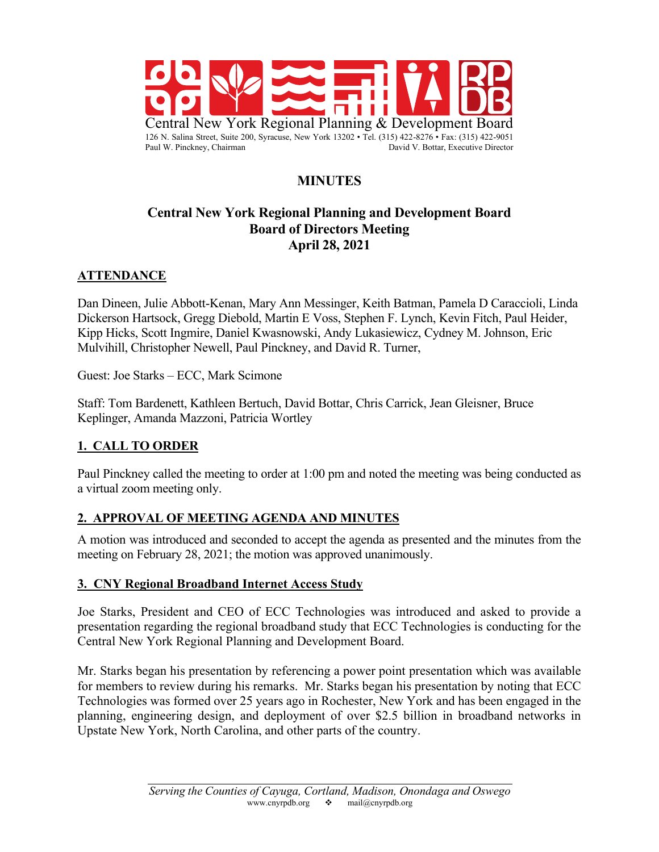

# **MINUTES**

#### **Central New York Regional Planning and Development Board Board of Directors Meeting April 28, 2021**

#### **ATTENDANCE**

Dan Dineen, Julie Abbott-Kenan, Mary Ann Messinger, Keith Batman, Pamela D Caraccioli, Linda Dickerson Hartsock, Gregg Diebold, Martin E Voss, Stephen F. Lynch, Kevin Fitch, Paul Heider, Kipp Hicks, Scott Ingmire, Daniel Kwasnowski, Andy Lukasiewicz, Cydney M. Johnson, Eric Mulvihill, Christopher Newell, Paul Pinckney, and David R. Turner,

Guest: Joe Starks – ECC, Mark Scimone

Staff: Tom Bardenett, Kathleen Bertuch, David Bottar, Chris Carrick, Jean Gleisner, Bruce Keplinger, Amanda Mazzoni, Patricia Wortley

#### **1. CALL TO ORDER**

Paul Pinckney called the meeting to order at 1:00 pm and noted the meeting was being conducted as a virtual zoom meeting only.

#### **2. APPROVAL OF MEETING AGENDA AND MINUTES**

A motion was introduced and seconded to accept the agenda as presented and the minutes from the meeting on February 28, 2021; the motion was approved unanimously.

#### **3. CNY Regional Broadband Internet Access Study**

Joe Starks, President and CEO of ECC Technologies was introduced and asked to provide a presentation regarding the regional broadband study that ECC Technologies is conducting for the Central New York Regional Planning and Development Board.

Mr. Starks began his presentation by referencing a power point presentation which was available for members to review during his remarks. Mr. Starks began his presentation by noting that ECC Technologies was formed over 25 years ago in Rochester, New York and has been engaged in the planning, engineering design, and deployment of over \$2.5 billion in broadband networks in Upstate New York, North Carolina, and other parts of the country.